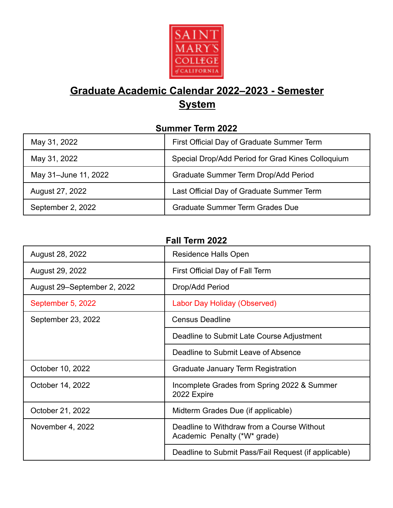

# **Graduate Academic Calendar 2022–2023 - Semester System**

#### **Summer Term 2022**

| May 31, 2022         | First Official Day of Graduate Summer Term        |
|----------------------|---------------------------------------------------|
| May 31, 2022         | Special Drop/Add Period for Grad Kines Colloquium |
| May 31-June 11, 2022 | Graduate Summer Term Drop/Add Period              |
| August 27, 2022      | Last Official Day of Graduate Summer Term         |
| September 2, 2022    | <b>Graduate Summer Term Grades Due</b>            |

**Fall Term 2022**

| August 28, 2022             | Residence Halls Open                                                       |
|-----------------------------|----------------------------------------------------------------------------|
| August 29, 2022             | First Official Day of Fall Term                                            |
| August 29–September 2, 2022 | Drop/Add Period                                                            |
| September 5, 2022           | Labor Day Holiday (Observed)                                               |
| September 23, 2022          | <b>Census Deadline</b>                                                     |
|                             | Deadline to Submit Late Course Adjustment                                  |
|                             | Deadline to Submit Leave of Absence                                        |
| October 10, 2022            | Graduate January Term Registration                                         |
| October 14, 2022            | Incomplete Grades from Spring 2022 & Summer<br>2022 Expire                 |
| October 21, 2022            | Midterm Grades Due (if applicable)                                         |
| November 4, 2022            | Deadline to Withdraw from a Course Without<br>Academic Penalty (*W* grade) |

Deadline to Submit Pass/Fail Request (if applicable)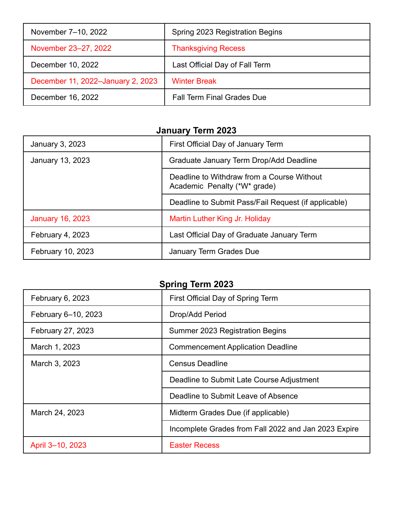| November 7-10, 2022               | Spring 2023 Registration Begins   |
|-----------------------------------|-----------------------------------|
| November 23-27, 2022              | <b>Thanksgiving Recess</b>        |
| December 10, 2022                 | Last Official Day of Fall Term    |
| December 11, 2022-January 2, 2023 | <b>Winter Break</b>               |
| December 16, 2022                 | <b>Fall Term Final Grades Due</b> |

## **January Term 2023**

| January 3, 2023          | First Official Day of January Term                                         |
|--------------------------|----------------------------------------------------------------------------|
| January 13, 2023         | Graduate January Term Drop/Add Deadline                                    |
|                          | Deadline to Withdraw from a Course Without<br>Academic Penalty (*W* grade) |
|                          | Deadline to Submit Pass/Fail Request (if applicable)                       |
| <b>January 16, 2023</b>  | Martin Luther King Jr. Holiday                                             |
| February 4, 2023         | Last Official Day of Graduate January Term                                 |
| <b>February 10, 2023</b> | January Term Grades Due                                                    |

### **Spring Term 2023**

| February 6, 2023    | First Official Day of Spring Term                    |
|---------------------|------------------------------------------------------|
| February 6-10, 2023 | Drop/Add Period                                      |
| February 27, 2023   | Summer 2023 Registration Begins                      |
| March 1, 2023       | <b>Commencement Application Deadline</b>             |
| March 3, 2023       | <b>Census Deadline</b>                               |
|                     | Deadline to Submit Late Course Adjustment            |
|                     | Deadline to Submit Leave of Absence                  |
| March 24, 2023      | Midterm Grades Due (if applicable)                   |
|                     | Incomplete Grades from Fall 2022 and Jan 2023 Expire |
| April 3-10, 2023    | <b>Easter Recess</b>                                 |